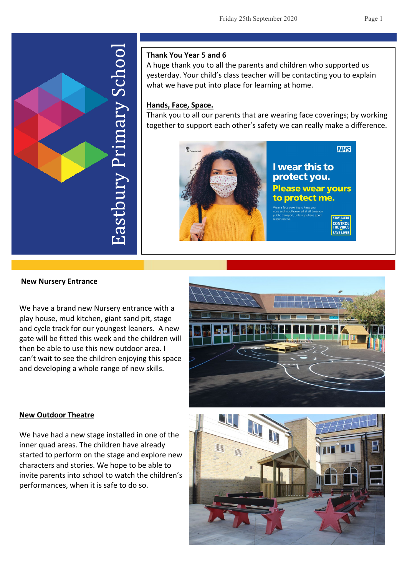

## **Thank You Year 5 and 6**

A huge thank you to all the parents and children who supported us yesterday. Your child's class teacher will be contacting you to explain what we have put into place for learning at home.

## **Hands, Face, Space.**

Thank you to all our parents that are wearing face coverings; by working together to support each other's safety we can really make a difference.



I wear this to protect you. **Please wear yours** to protect me.

**NHS** 

#### **New Nursery Entrance**

We have a brand new Nursery entrance with a play house, mud kitchen, giant sand pit, stage and cycle track for our youngest leaners. A new gate will be fitted this week and the children will then be able to use this new outdoor area. I can't wait to see the children enjoying this space and developing a whole range of new skills.



#### **New Outdoor Theatre**

We have had a new stage installed in one of the inner quad areas. The children have already started to perform on the stage and explore new characters and stories. We hope to be able to invite parents into school to watch the children's performances, when it is safe to do so.